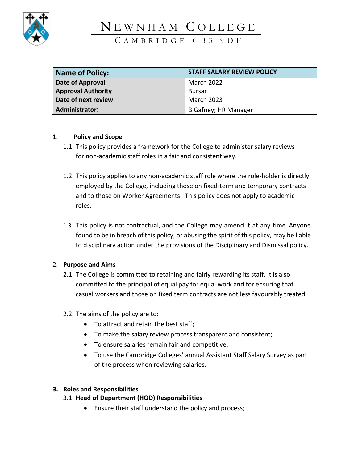

# NEWNHAM COLLEGE

C A M B R I D G E C B 3 9 D F

| <b>Name of Policy:</b>    | <b>STAFF SALARY REVIEW POLICY</b> |
|---------------------------|-----------------------------------|
| Date of Approval          | March 2022                        |
| <b>Approval Authority</b> | <b>Bursar</b>                     |
| Date of next review       | <b>March 2023</b>                 |
| <b>Administrator:</b>     | <b>B Gafney; HR Manager</b>       |

# 1. **Policy and Scope**

- 1.1. This policy provides a framework for the College to administer salary reviews for non-academic staff roles in a fair and consistent way.
- 1.2. This policy applies to any non-academic staff role where the role-holder is directly employed by the College, including those on fixed-term and temporary contracts and to those on Worker Agreements. This policy does not apply to academic roles.
- 1.3. This policy is not contractual, and the College may amend it at any time. Anyone found to be in breach of this policy, or abusing the spirit of this policy, may be liable to disciplinary action under the provisions of the Disciplinary and Dismissal policy.

# 2. **Purpose and Aims**

- 2.1. The College is committed to retaining and fairly rewarding its staff. It is also committed to the principal of equal pay for equal work and for ensuring that casual workers and those on fixed term contracts are not less favourably treated.
- 2.2. The aims of the policy are to:
	- To attract and retain the best staff;
	- To make the salary review process transparent and consistent;
	- To ensure salaries remain fair and competitive;
	- To use the Cambridge Colleges' annual Assistant Staff Salary Survey as part of the process when reviewing salaries.

# **3. Roles and Responsibilities**

# 3.1. **Head of Department (HOD) Responsibilities**

• Ensure their staff understand the policy and process;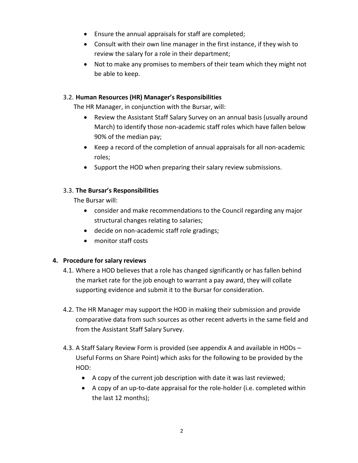- Ensure the annual appraisals for staff are completed;
- Consult with their own line manager in the first instance, if they wish to review the salary for a role in their department;
- Not to make any promises to members of their team which they might not be able to keep.

#### 3.2. **Human Resources (HR) Manager's Responsibilities**

The HR Manager, in conjunction with the Bursar, will:

- Review the Assistant Staff Salary Survey on an annual basis (usually around March) to identify those non-academic staff roles which have fallen below 90% of the median pay;
- Keep a record of the completion of annual appraisals for all non-academic roles;
- Support the HOD when preparing their salary review submissions.

#### 3.3. **The Bursar's Responsibilities**

The Bursar will:

- consider and make recommendations to the Council regarding any major structural changes relating to salaries;
- decide on non-academic staff role gradings;
- monitor staff costs

# **4. Procedure for salary reviews**

- 4.1. Where a HOD believes that a role has changed significantly or has fallen behind the market rate for the job enough to warrant a pay award, they will collate supporting evidence and submit it to the Bursar for consideration.
- 4.2. The HR Manager may support the HOD in making their submission and provide comparative data from such sources as other recent adverts in the same field and from the Assistant Staff Salary Survey.
- 4.3. A Staff Salary Review Form is provided (see appendix A and available in HODs Useful Forms on Share Point) which asks for the following to be provided by the HOD:
	- A copy of the current job description with date it was last reviewed;
	- A copy of an up-to-date appraisal for the role-holder (i.e. completed within the last 12 months);